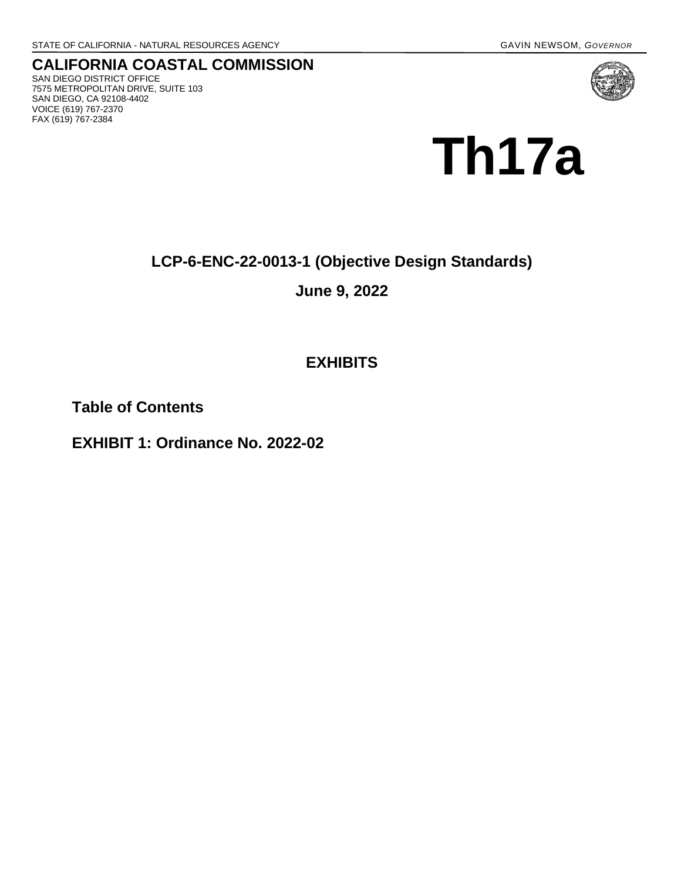**CALIFORNIA COASTAL COMMISSION** SAN DIEGO DISTRICT OFFICE 7575 METROPOLITAN DRIVE, SUITE 103 SAN DIEGO, CA 92108-4402 VOICE (619) 767-2370 FAX (619) 767-2384



# **LCP-6-ENC-22-0013-1 (Objective Design Standards)**

### **June 9, 2022**

## **EXHIBITS**

**Table of Contents**

**EXHIBIT 1: Ordinance No. 2022-02**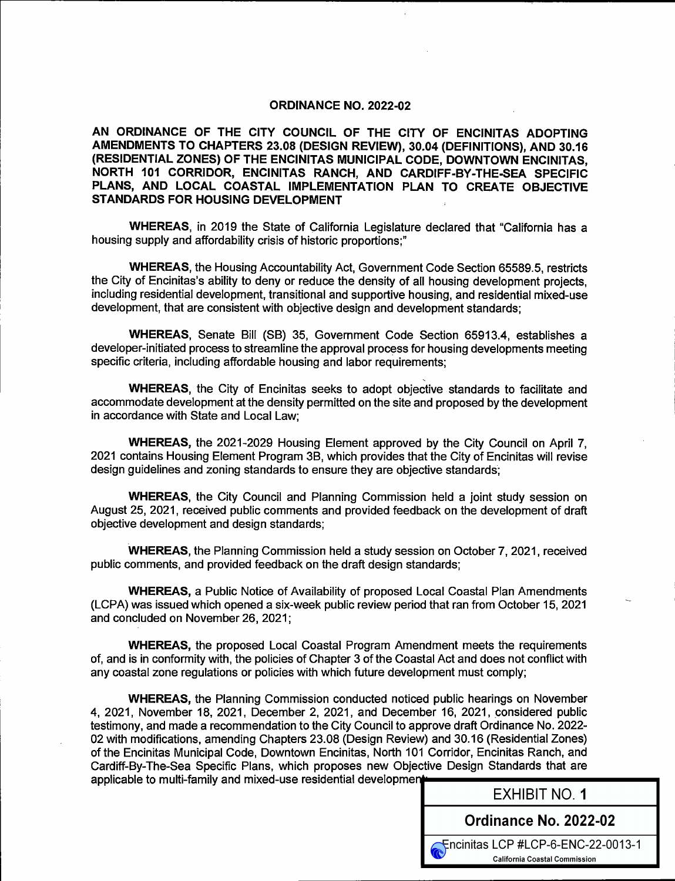#### ORDINANCE NO. 2022-02

AN ORDINANCE OF THE CITY COUNCIL OF THE CITY OF ENCINITAS ADOPTING AMENDMENTS TO CHAPTERS 23.08 ( DESIGN REVIEW), 30.04 (DEFINITIONS), AND 30.16 RESIDENTIAL ZONES) OF THE ENCINITAS MUNICIPAL CODE, DOWNTOWN ENCINITAS, NORTH 101 CORRIDOR, ENCINITAS RANCH, AND CARDIFF-BY-THE-SEA SPECIFIC PLANS, AND LOCAL COASTAL IMPLEMENTATION PLAN TO CREATE OBJECTIVE STANDARDS FOR HOUSING DEVELOPMENT

WHEREAS, in 2019 the State of California Legislature declared that "California has a housing supply and affordability crisis of historic proportions;"

WHEREAS, the Housing Accountability Act, Government Code Section 65589. 5, restricts the City of Encinitas's ability to deny or reduce the density of all housing development projects, including residential development, transitional and supportive housing, and residential mixed-use development, that are consistent with objective design and development standards;

WHEREAS, Senate Bill (SB) 35, Government Code Section 65913.4, establishes a developer-initiated process to streamline the approval process for housing developments meeting specific criteria, including affordable housing and labor requirements;

WHEREAS, the City of Encinitas seeks to adopt objective standards to facilitate and accommodate development at the density permitted on the site and proposed by the development in accordance with State and Local Law;

WHEREAS, the 2021-2029 Housing Element approved by the City Council on April 7, 2021 contains Housing Element Program 3B, which provides that the City of Encinitas will revise design guidelines and zoning standards to ensure they are objective standards,

WHEREAS, the City Council and Planning Commission held a joint study session on August 25, 2021, received public comments and provided feedback on the development of draft objective development and design standards;

WHEREAS, the Planning Commission held a study session on October 7, 2021, received public comments, and provided feedback on the draft design standards;

WHEREAS, a Public Notice of Availability of proposed Local Coastal Plan Amendments LCPA) was issued which opened a six-week public review period that ran from October 15, 2021 and concluded on November 26, 2021;

WHEREAS, the proposed Local Coastal Program Amendment meets the requirements of, and is in conformity with, the policies of Chapter 3 of the Coastal Act and does not conflict with any coastal zone regulations or policies with which future development must comply;

WHEREAS, the Planning Commission conducted noticed public hearings on November 4, 2021, November 18, 2021, December 2, 2021, and December 16, 2021, considered public testimony, and made a recommendation to the City Council to approve draft Ordinance No. 2022- 02 with modifications, amending Chapters 23.08( Design Review) and 30. 16 ( Residential Zones) of the Encinitas Municipal Code, Downtown Encinitas, North 101 Corridor, Encinitas Ranch, and Cardiff-By-The-Sea Specific Plans, which proposes new Objective Design Standards that are applicable to multi-family and mixed-use residential development

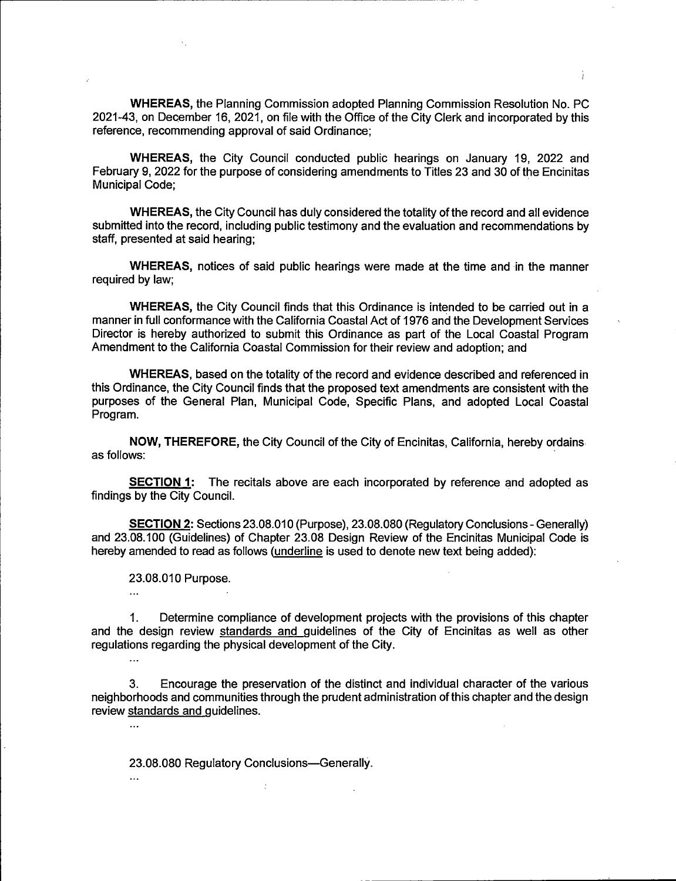WHEREAS, the Planning Commission adopted Planning Commission Resolution No. PC 2021-43, on December 16, 2021, on file with the Office of the City Clerk and incorporated by this reference, recommending approval of said Ordinance;

1

WHEREAS, the City Council conducted public hearings on January 19, 2022 and February 9, 2022 for the purpose of considering amendments to Titles 23 and 30 of the Encinitas Municipal Code;

WHEREAS, the City Council has duly considered the totality of the record and all evidence submitted into the record, including public testimony and the evaluation and recommendations by staff, presented at said hearing;

WHEREAS, notices of said public hearings were made at the time and in the manner required by law;

WHEREAS, the City Council finds that this Ordinance is intended to be carried out in a manner in full conformance with the California Coastal Act of 1976 and the Development Services Director is hereby authorized to submit this Ordinance as part of the Local Coastal Program Amendment to the California Coastal Commission for their review and adoption; and

WHEREAS, based on the totality of the record and evidence described and referenced in this Ordinance, the City Council finds that the proposed text amendments are consistent with the purposes of the General Plan, Municipal Code, Specific Plans, and adopted Local Coastal Program.

NOW, THEREFORE, the City Council of the City of Encinitas, California, hereby ordains as follows:

SECTION 1: The recitals above are each incorporated by reference and adopted as findings by the City Council.

SECTION 2: Sections 23.08.010 (Purpose), 23.08.080 (Regulatory Conclusions - Generally) and 23.08.100 (Guidelines) of Chapter 23.08 Design Review of the Encinitas Municipal Code is hereby amended to read as follows (underline is used to denote new text being added):

23.08.010 Purpose.

 $\mathbf{a}$ 

 $\mathbb{Z}$  .

 $\ddotsc$ 

 $\dddotsc$ 

1. Determine compliance of development projects with the provisions of this chapter and the design review standards and guidelines of the City of Encinitas as well as other regulations regarding the physical development of the City.

3. Encourage the preservation of the distinct and individual character of the various neighborhoods and communities through the prudent administration of this chapter and the design review standards and guidelines.

23. 08.080 Regulatory Conclusions—Generally.

 $\frac{1}{2}$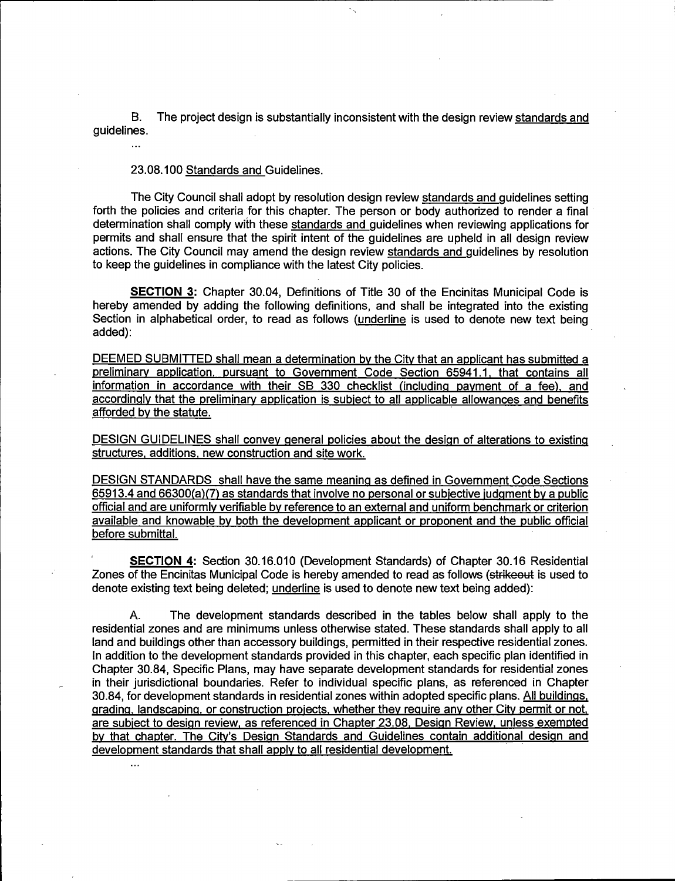B. The project design is substantially inconsistent with the design review standards and guidelines.

23. 08. 100 Standards and Guidelines.

 $\dddotsc$ 

The City Council shall adopt by resolution design review standards and guidelines setting forth the policies and criteria for this chapter. The person or body authorized to render a final determination shall comply with these standards and guidelines when reviewing applications for permits and shall ensure that the spirit intent of the guidelines are upheld in all design review actions. The City Council may amend the design review standards and guidelines by resolution to keep the guidelines in compliance with the latest City policies.

**SECTION 3:** Chapter 30.04, Definitions of Title 30 of the Encinitas Municipal Code is hereby amended by adding the following definitions, and shall be integrated into the existing Section in alphabetical order, to read as follows (underline is used to denote new text being added):

DEEMED SUBMITTED shall mean a determination by the City that an applicant has submitted a preliminary application, pursuant to Government Code Section 65941.1, that contains all information in accordance with their SB 330 checklist (including payment of a fee), and accordingly that the preliminary application is subject to all applicable allowances and benefits afforded by the statute.

DESIGN GUIDELINES shall convey general policies about the design of alterations to existing structures, additions, new construction and site work.

DESIGN STANDARDS shall have the same meaning as defined in Government Code Sections  $65913.4$  and  $66300(a)(7)$  as standards that involve no personal or subjective judgment by a public official and are uniformly verifiable by reference to an external and uniform benchmark or criterion available and knowable by both the development applicant or proponent and the public official before submittal.

SECTION 4: Section 30.16.010 (Development Standards) of Chapter 30.16 Residential Zones of the Encinitas Municipal Code is hereby amended to read as follows (strikeout is used to denote existing text being deleted; underline is used to denote new text being added):

A. The development standards described in the tables below shall apply to the residential zones and are minimums unless otherwise stated. These standards shall apply to all land and buildings other than accessory buildings, permitted in their respective residential zones. In addition to the development standards provided in this chapter, each specific plan identified in Chapter 30.84, Specific Plans, may have separate development standards for residential zones in their jurisdictional boundaries. Refer to individual specific plans, as referenced in Chapter 30.84, for development standards in residential zones within adopted specific plans. All buildings, grading, landscaping, or construction projects, whether they require any other City permit or not, are subject to design review, as referenced in Chapter 23.08, Design Review, unless exempted by that chapter. The City's Design Standards and Guidelines contain additional design and development standards that shall apply to all residential development.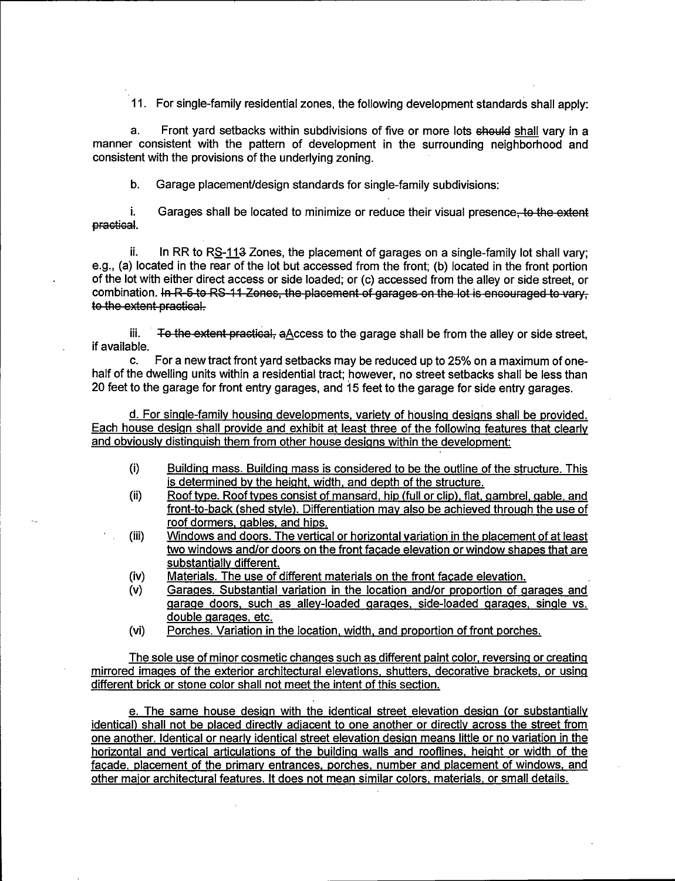11. For single-family residential zones, the following development standards shall apply:

a. Front yard setbacks within subdivisions of five or more lots should shall vary in a manner consistent with the pattern of development in the surrounding neighborhood and consistent with the provisions of the underlying zoning.

b. Garage placement/design standards for single-family subdivisions:

i. Garages shall be located to minimize or reduce their visual presence<del>, to the extent</del> practical.

ii. In RR to RS-113 Zones, the placement of garages on a single-family lot shall vary; e.g., (a) located in the rear of the lot but accessed from the front; (b) located in the front portion of the lot with either direct access or side loaded; or( c) accessed from the alley or side street, or combination. In R 5 to RS 11 Zones, the placement of garages on the let is encouraged to vary. to the extent practical.

iii. To the extent practical,  $a \triangle c$ cess to the garage shall be from the alley or side street, if available.

c. For <sup>a</sup> new tract front yard setbacks may be reduced up to 25% on a maximum of onehalf of the dwelling units within a residential tract; however, no street setbacks shall be less than 20 feet to the garage for front entry garages, and 15 feet to the garage for side entry garages.

d. For single-family housing developments, variety of housing designs shall be provided. Each house design shall provide and exhibit at least three of the following features that clearly and obviously distinguish them from other house designs within the development:

- i) Building mass. Building mass is considered to be the outline of the structure. This is determined by the height, width, and depth of the structure.
- ii) Roof type. Roof types consist of mansard, hip( full or clip), flat, gambrel, gable, and front-to-back( shed style). Differentiation may also be achieved through the use of roof dormers, gables, and hips.
- iii) Windows and doors. The vertical or horizontal variation in the placement of at least two windows and/or doors on the front facade elevation or window shapes that are substantially different.
- iv) Materials. The use of different materials on the front facade elevation.
- (v) Garages. Substantial variation in the location and/or proportion of garages and garage doors, such as alley-loaded garages, side-loaded garages, single vs. double garages, etc.
- vi) Porches. Variation in the location, width, and proportion of front porches.

The sole use of minor cosmetic changes such as different paint color, reversing or creating mirrored images of the exterior architectural elevations, shutters, decorative brackets, or using different brick or stone color shall not meet the intent of this section.

e. The same house design with the identical street elevation design (or substantially identical) shall not be placed directly adjacent to one another or directly across the street from one another. Identical or nearly identical street elevation design means little or no variation in the horizontal and vertical articulations of the building walls and rooflines, height or width of the facade, placement of the primary entrances, porches, number and placement of windows, and other maior architectural features. It does not mean similar colors, materials, or small details.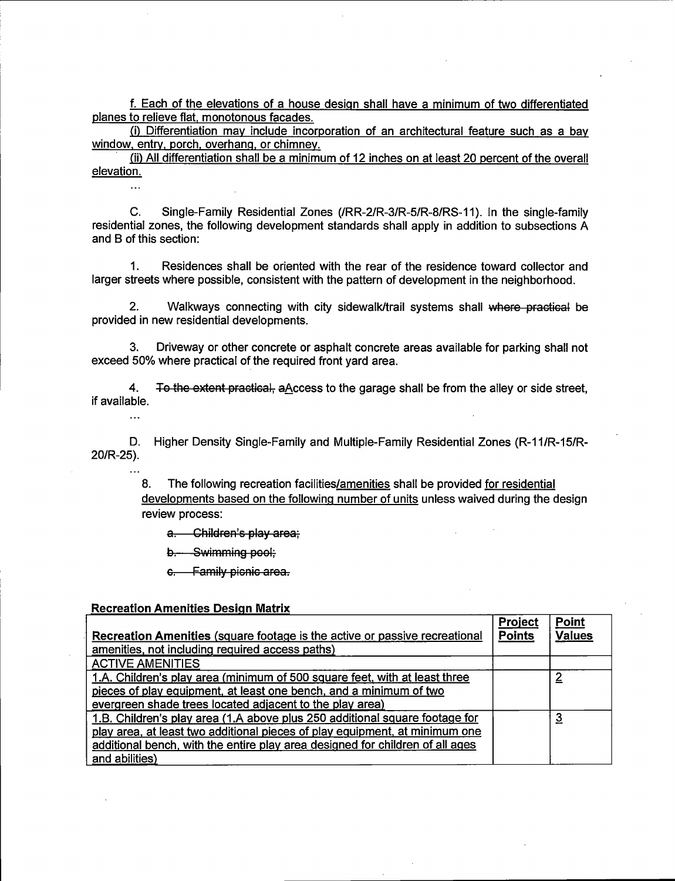#### Recreation Amenities Design Matrix

| f. Each of the elevations of a house design shall have a minimum of two differentiated<br>planes to relieve flat, monotonous facades.                                                                                                                  |  |  |  |  |
|--------------------------------------------------------------------------------------------------------------------------------------------------------------------------------------------------------------------------------------------------------|--|--|--|--|
| (i) Differentiation may include incorporation of an architectural feature such as a bay<br>window, entry, porch, overhang, or chimney.<br>(ii) All differentiation shall be a minimum of 12 inches on at least 20 percent of the overall<br>elevation. |  |  |  |  |
| C. Single-Family Residential Zones (/RR-2/R-3/R-5/R-8/RS-11). In the single-family                                                                                                                                                                     |  |  |  |  |
| residential zones, the following development standards shall apply in addition to subsections A<br>and B of this section:<br>1. Residences shall be oriented with the rear of the residence toward collector and                                       |  |  |  |  |
| larger streets where possible, consistent with the pattern of development in the neighborhood.<br>2. Walkways connecting with city sidewalk/trail systems shall where practical be                                                                     |  |  |  |  |
| provided in new residential developments.<br>3. Driveway or other concrete or asphalt concrete areas available for parking shall not<br>exceed 50% where practical of the required front yard area.                                                    |  |  |  |  |
| 4. To the extent practical, aAccess to the garage shall be from the alley or side street,<br>if available.                                                                                                                                             |  |  |  |  |
| D. Higher Density Single-Family and Multiple-Family Residential Zones (R-11/R-15/R-<br>20/R-25).                                                                                                                                                       |  |  |  |  |
| 8.     The following recreation facilities <u>/amenities</u> shall be provided <u>for residential</u><br><u>developments based on the following number of units</u> unless waived during the design                                                    |  |  |  |  |
| review process:<br><del>a. Children's play area;</del><br>b. Swimming pool;                                                                                                                                                                            |  |  |  |  |
| <del>c. Family picnic area.</del>                                                                                                                                                                                                                      |  |  |  |  |
| <u> Recreation Amenities Design Matrix</u>                                                                                                                                                                                                             |  |  |  |  |
| Recreation Amenities Design Matrix<br>Recreation Amenities (square footage is the active or passive recreational<br>amenities, not including required access paths)<br>ACTIVE AMENITIES<br>1.A. Children's play area (minimum of 500 s                 |  |  |  |  |
|                                                                                                                                                                                                                                                        |  |  |  |  |
|                                                                                                                                                                                                                                                        |  |  |  |  |
|                                                                                                                                                                                                                                                        |  |  |  |  |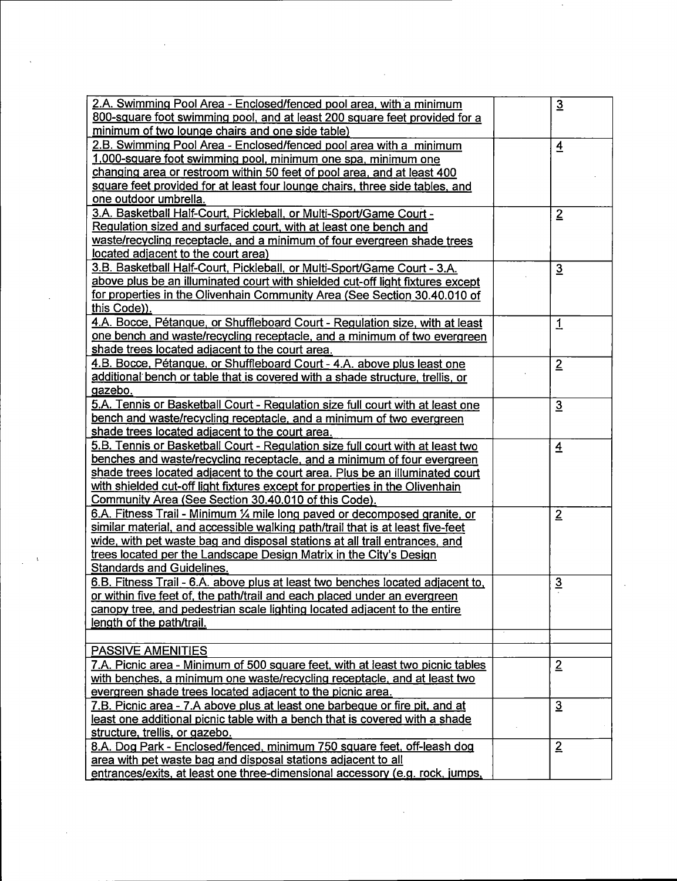| 2.A. Swimming Pool Area - Enclosed/fenced pool area, with a minimum            | $\overline{3}$ |
|--------------------------------------------------------------------------------|----------------|
| 800-square foot swimming pool, and at least 200 square feet provided for a     |                |
| minimum of two lounge chairs and one side table)                               |                |
| 2.B. Swimming Pool Area - Enclosed/fenced pool area with a minimum             | $\overline{4}$ |
| 1,000-square foot swimming pool, minimum one spa, minimum one                  |                |
| changing area or restroom within 50 feet of pool area, and at least 400        |                |
| square feet provided for at least four lounge chairs, three side tables, and   |                |
| one outdoor umbrella.                                                          |                |
| 3.A. Basketball Half-Court, Pickleball, or Multi-Sport/Game Court -            | $\overline{2}$ |
| Regulation sized and surfaced court, with at least one bench and               |                |
| waste/recycling receptacle, and a minimum of four evergreen shade trees        |                |
| located adjacent to the court area)                                            |                |
| 3.B. Basketball Half-Court, Pickleball, or Multi-Sport/Game Court - 3.A.       | $\overline{3}$ |
| above plus be an illuminated court with shielded cut-off light fixtures except |                |
| for properties in the Olivenhain Community Area (See Section 30.40.010 of      |                |
| this Code)).                                                                   |                |
| 4.A. Bocce, Pétangue, or Shuffleboard Court - Regulation size, with at least   | 1              |
| one bench and waste/recycling receptacle, and a minimum of two evergreen       |                |
| shade trees located adjacent to the court area.                                |                |
| 4.B. Bocce, Pétangue, or Shuffleboard Court - 4.A. above plus least one        | $\overline{2}$ |
| additional bench or table that is covered with a shade structure, trellis, or  |                |
| gazebo.                                                                        |                |
| 5.A. Tennis or Basketball Court - Regulation size full court with at least one | $\overline{3}$ |
| bench and waste/recycling receptacle, and a minimum of two evergreen           |                |
| shade trees located adjacent to the court area.                                |                |
| 5.B. Tennis or Basketball Court - Regulation size full court with at least two | $\overline{4}$ |
| benches and waste/recycling receptacle, and a minimum of four evergreen        |                |
| shade trees located adjacent to the court area. Plus be an illuminated court   |                |
| with shielded cut-off light fixtures except for properties in the Olivenhain   |                |
| Community Area (See Section 30.40.010 of this Code).                           |                |
| 6.A. Fitness Trail - Minimum 1/4 mile long paved or decomposed granite, or     | $\overline{2}$ |
| similar material, and accessible walking path/trail that is at least five-feet |                |
| wide, with pet waste bag and disposal stations at all trail entrances, and     |                |
| trees located per the Landscape Design Matrix in the City's Design             |                |
| <b>Standards and Guidelines.</b>                                               |                |
|                                                                                |                |
| 6.B. Fitness Trail - 6.A. above plus at least two benches located adjacent to, | $\overline{3}$ |
| or within five feet of, the path/trail and each placed under an evergreen      |                |
| canopy tree, and pedestrian scale lighting located adjacent to the entire      |                |
| length of the path/trail.                                                      |                |
|                                                                                |                |
| <b>PASSIVE AMENITIES</b>                                                       |                |
| 7.A. Picnic area - Minimum of 500 square feet, with at least two picnic tables | $\overline{2}$ |
| with benches, a minimum one waste/recycling receptacle, and at least two       |                |
| evergreen shade trees located adjacent to the picnic area.                     |                |
| 7.B. Picnic area - 7.A above plus at least one barbeque or fire pit, and at    | $\overline{3}$ |
| least one additional picnic table with a bench that is covered with a shade    |                |
| structure, trellis, or gazebo.                                                 |                |
| 8.A. Dog Park - Enclosed/fenced, minimum 750 square feet, off-leash dog        | $\overline{2}$ |
| area with pet waste bag and disposal stations adjacent to all                  |                |
| entrances/exits, at least one three-dimensional accessory (e.g. rock, jumps,   |                |

 $\mathcal{L}^{\text{max}}_{\text{max}}$  , where  $\mathcal{L}^{\text{max}}_{\text{max}}$ 

 $\label{eq:2.1} \frac{1}{\sqrt{2}}\int_{\mathbb{R}^3}\frac{1}{\sqrt{2}}\left(\frac{1}{\sqrt{2}}\right)^2\frac{1}{\sqrt{2}}\left(\frac{1}{\sqrt{2}}\right)^2\frac{1}{\sqrt{2}}\left(\frac{1}{\sqrt{2}}\right)^2\frac{1}{\sqrt{2}}\left(\frac{1}{\sqrt{2}}\right)^2.$ 

 $\mathcal{L}(\mathcal{L}^{\text{c}})$  and  $\mathcal{L}^{\text{c}}$  .

 $\ddot{\phantom{0}}$ 

 $\sim$ 

 $\sim$   $\sim$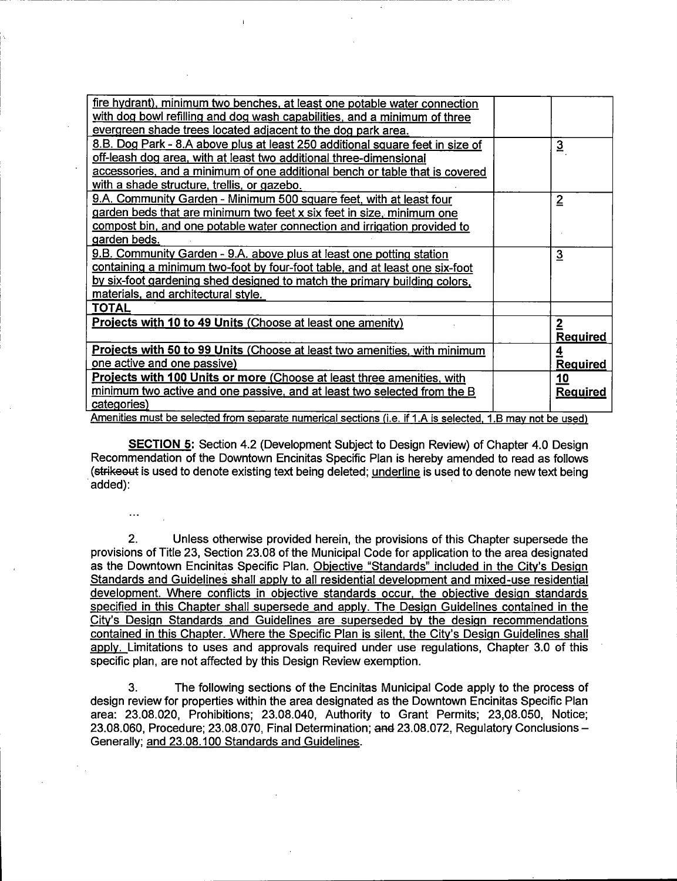| fire hydrant), minimum two benches, at least one potable water connection                                  |  |                         |  |  |  |
|------------------------------------------------------------------------------------------------------------|--|-------------------------|--|--|--|
| with dog bowl refilling and dog wash capabilities, and a minimum of three                                  |  |                         |  |  |  |
| evergreen shade trees located adjacent to the dog park area.                                               |  |                         |  |  |  |
| 8.B. Dog Park - 8.A above plus at least 250 additional square feet in size of                              |  | $\overline{3}$          |  |  |  |
| off-leash dog area, with at least two additional three-dimensional                                         |  |                         |  |  |  |
| accessories, and a minimum of one additional bench or table that is covered                                |  |                         |  |  |  |
| with a shade structure, trellis, or gazebo.                                                                |  |                         |  |  |  |
| 9.A. Community Garden - Minimum 500 square feet, with at least four                                        |  | $\overline{2}$          |  |  |  |
| garden beds that are minimum two feet x six feet in size, minimum one                                      |  |                         |  |  |  |
| compost bin, and one potable water connection and irrigation provided to                                   |  |                         |  |  |  |
| garden beds.                                                                                               |  |                         |  |  |  |
| 9.B. Community Garden - 9.A. above plus at least one potting station                                       |  | $\overline{3}$          |  |  |  |
| containing a minimum two-foot by four-foot table, and at least one six-foot                                |  |                         |  |  |  |
| by six-foot gardening shed designed to match the primary building colors.                                  |  |                         |  |  |  |
| materials, and architectural style.                                                                        |  |                         |  |  |  |
| <b>TOTAL</b>                                                                                               |  |                         |  |  |  |
| <b>Projects with 10 to 49 Units (Choose at least one amenity)</b>                                          |  | $\mathbf{2}$            |  |  |  |
|                                                                                                            |  | <b>Required</b>         |  |  |  |
| Projects with 50 to 99 Units (Choose at least two amenities, with minimum                                  |  | $\overline{\mathbf{4}}$ |  |  |  |
| one active and one passive)                                                                                |  | <b>Required</b>         |  |  |  |
| <b>Projects with 100 Units or more (Choose at least three amenities, with</b>                              |  | 10                      |  |  |  |
| minimum two active and one passive, and at least two selected from the B                                   |  | <b>Required</b>         |  |  |  |
| categories)                                                                                                |  |                         |  |  |  |
| Amenities must be selected from separate numerical sections (i.e. if 1.A is selected, 1.B may not be used) |  |                         |  |  |  |

i

SECTION 5: Section 4.2 ( Development Subject to Design Review) of Chapter 4.0 Design Recommendation of the Downtown Encinitas Specific Plan is hereby amended to read as follows (strikeout is used to denote existing text being deleted; underline is used to denote new text being added):

2. Unless otherwise provided herein, the provisions of this Chapter supersede the provisions of Title 23, Section 23.08 of the Municipal Code for application to the area designated as the Downtown Encinitas Specific Plan. Objective " Standards" included in the City's Design Standards and Guidelines shall apply to all residential development and mixed-use residential development. Where conflicts in objective standards occur, the obiective design standards specified in this Chapter shall supersede and apply. The Design Guidelines contained in the City's Design Standards and Guidelines are superseded by the design recommendations contained in this Chapter. Where the Specific Plan is silent, the City's Design Guidelines shall apply. Limitations to uses and approvals required under use regulations, Chapter 3.0 of this specific plan, are not affected by this Design Review exemption.

3. The following sections of the Encinitas Municipal Code apply to the process of design review for properties within the area designated as the Downtown Encinitas Specific Plan area: 23.08. 020, Prohibitions; 23.08.040, Authority to Grant Permits; 23,08. 050, Notice; 23.08.060, Procedure; 23. 08.070, Final Determination; and 23.08.072, Regulatory Conclusions— Generally; and 23.08. 100 Standards and Guidelines.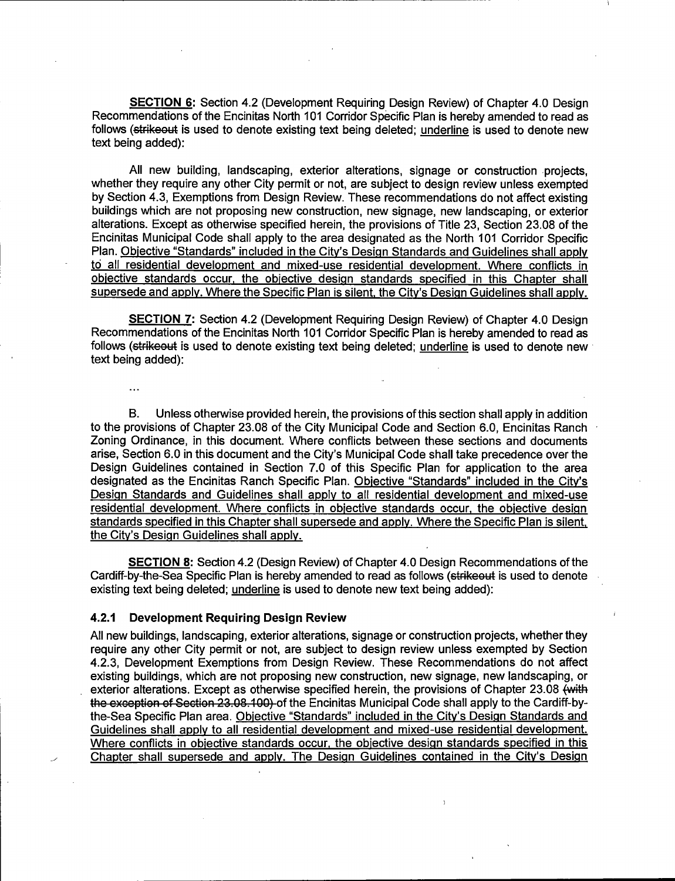SECTION 6: Section 4.2 ( Development Requiring Design Review) of Chapter 4.0 Design Recommendations of the Encinitas North 101 Corridor Specific Plan is hereby amended to read as follows (strikeout is used to denote existing text being deleted; underline is used to denote new text being added):

All new building, landscaping, exterior alterations, signage or construction projects, whether they require any other City permit or not, are subject to design review unless exempted by Section 4. 3, Exemptions from Design Review. These recommendations do not affect existing buildings which are not proposing new construction, new signage, new landscaping, or exterior alterations. Except as otherwise specified herein, the provisions of Title 23, Section 23.08 of the Encinitas Municipal Code shall apply to the area designated as the North 101 Corridor Specific Plan. Objective "Standards" included in the City's Design Standards and Guidelines shall apply to all residential development and mixed-use residential development. Where conflicts in objective standards occur, the objective design standards specified in this Chapter shall supersede and apply. Where the Specific Plan is silent, the City's Design Guidelines shall apply.

SECTION 7: Section 4.2 ( Development Requiring Design Review) of Chapter 4.0 Design Recommendations of the Encinitas North 101 Corridor Specific Plan is hereby amended to read as follows (strike out is used to denote existing text being deleted; underline is used to denote new text being added):

 $\ddotsc$ 

B. Unless otherwise provided herein, the provisions of this section shall apply in addition to the provisions of Chapter 23.08 of the City Municipal Code and Section 6.0, Encinitas Ranch Zoning Ordinance, in this document. Where conflicts between these sections and documents arise, Section 6.0 in this document and the City's Municipal Code shall take precedence over the Design Guidelines contained in Section 7.0 of this Specific Plan for application to the area designated as the Encinitas Ranch Specific Plan. Objective "Standards" included in the City's Design Standards and Guidelines shall apply to all residential development and mixed-use residential development. Where conflicts in objective standards occur, the obiective design standards specified in this Chapter shall supersede and apply. Where the Specific Plan is silent, the City's Design Guidelines shall apply.

SECTION 8: Section 4.2 (Design Review) of Chapter 4.0 Design Recommendations of the Cardiff-by-the-Sea Specific Plan is hereby amended to read as follows (strike out is used to denote existing text being deleted; underline is used to denote new text being added):

#### 4.2.1 Development Requiring Design Review

All new buildings, landscaping, exterior alterations, signage or construction projects, whether they require any other City permit or not, are subject to design review unless exempted by Section 4.2. 3, Development Exemptions from Design Review. These Recommendations do not affect existing buildings, which are not proposing new construction, new signage, new landscaping, or exterior alterations. Except as otherwise specified herein, the provisions of Chapter 23.08 (with the exception of Section 23.08.100) of the Encinitas Municipal Code shall apply to the Cardiff-bythe-Sea Specific Plan area. Objective "Standards" included in the City's Design Standards and Guidelines shall apply to all residential development and mixed-use residential development. Where conflicts in objective standards occur, the objective design standards specified in this Chapter shall supersede and apply. The Design Guidelines contained in the City's Design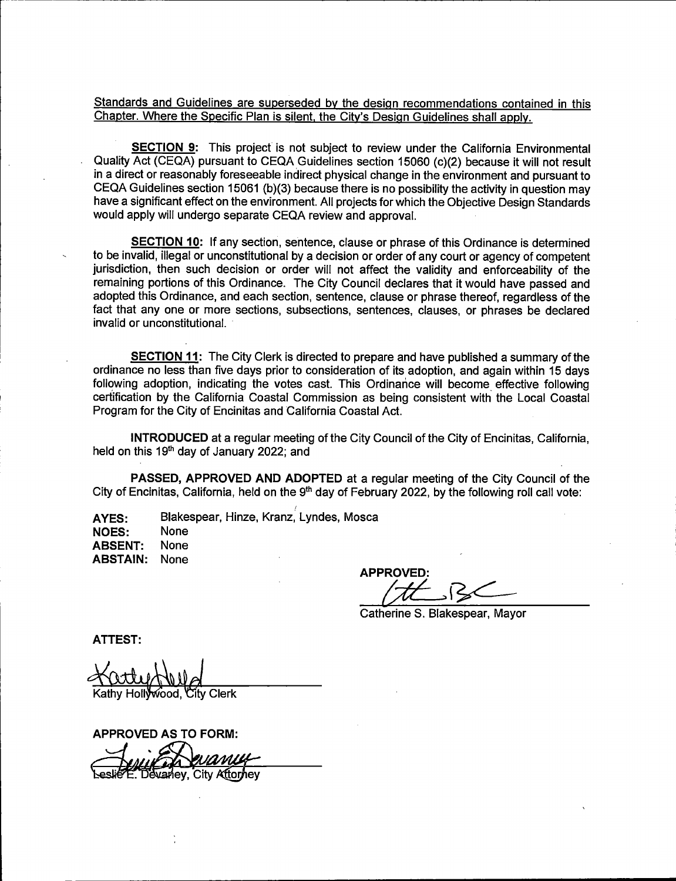Standards and Guidelines are superseded by the design recommendations contained in this Chapter. Where the Specific Plan is silent, the City's Design Guidelines shall apply.

**SECTION 9:** This project is not subject to review under the California Environmental Quality Act (CEQA) pursuant to CEQA Guidelines section 15060 (c)(2) because it will not result in a direct or reasonably foreseeable indirect physical change in the environment and pursuant to CEQA Guidelines section 15061 (b)(3) because there is no possibility the activity in question may have a significant effect on the environment. All projects for which the Objective Design Standards would apply will undergo separate CEQA review and approval.

SECTION 10: If any section, sentence, clause or phrase of this Ordinance is determined to be invalid, illegal or unconstitutional by a decision or order of any court or agency of competent jurisdiction, then such decision or order will not affect the validity and enforceability of the remaining portions of this Ordinance. The City Council declares that it would have passed and adopted this Ordinance, and each section, sentence, clause or phrase thereof, regardless of the fact that any one or more sections, subsections, sentences, clauses, or phrases be declared invalid or unconstitutional.

SECTION 11: The City Clerk is directed to prepare and have published a summary of the ordinance no less than five days prior to consideration of its adoption, and again within 15 days following adoption, indicating the votes cast. This Ordinance will become effective following certification by the California Coastal Commission as being consistent with the Local Coastal Program for the City of Encinitas and California Coastal Act.

INTRODUCED at a regular meeting of the City Council of the City of Encinitas, California, held on this 19<sup>th</sup> day of January 2022; and

PASSED, APPROVED AND ADOPTED at a regular meeting of the City Council of the City of Encinitas, California, held on the  $9<sup>th</sup>$  day of February 2022, by the following roll call vote:

AYES: Blakespear, Hinze, Kranz, Lyndes, Mosca<br>NOES: None

**NOES:** ABSENT: None ABSTAIN: None

APPROVED:

Catherine S. Blakespear, Mayor

ATTEST:

tv Clerk

APPROVED AS TO FORM:  $\widetilde{\mathsf{gap}}$ , City Attorhey